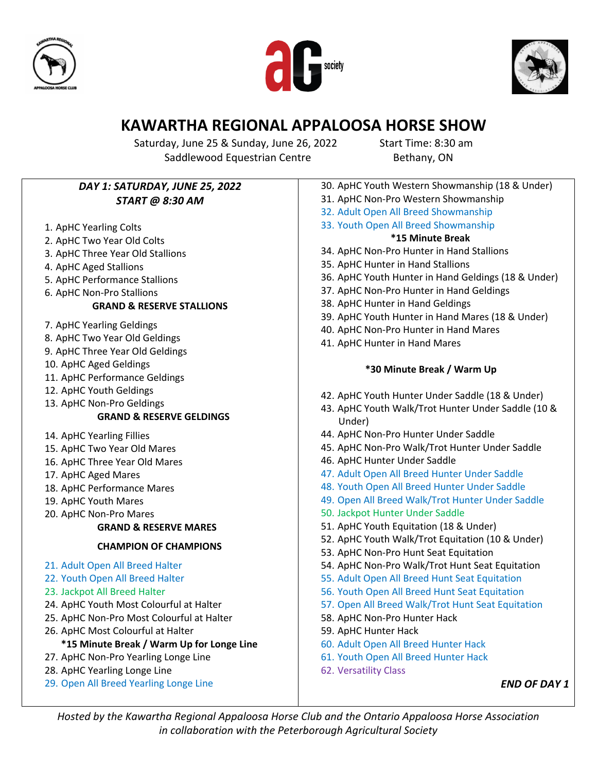





## **KAWARTHA REGIONAL APPALOOSA HORSE SHOW**

Saturday, June 25 & Sunday, June 26, 2022 Start Time: 8:30 am Saddlewood Equestrian Centre Bethany, ON

| DAY 1: SATURDAY, JUNE 25, 2022            | 30. ApHC Youth Western Showmanship (18 & Under)     |
|-------------------------------------------|-----------------------------------------------------|
| <b>START @ 8:30 AM</b>                    | 31. ApHC Non-Pro Western Showmanship                |
|                                           | 32. Adult Open All Breed Showmanship                |
| 1. ApHC Yearling Colts                    | 33. Youth Open All Breed Showmanship                |
| 2. ApHC Two Year Old Colts                | *15 Minute Break                                    |
| 3. ApHC Three Year Old Stallions          | 34. ApHC Non-Pro Hunter in Hand Stallions           |
| 4. ApHC Aged Stallions                    | 35. ApHC Hunter in Hand Stallions                   |
| 5. ApHC Performance Stallions             | 36. ApHC Youth Hunter in Hand Geldings (18 & Under) |
| 6. ApHC Non-Pro Stallions                 | 37. ApHC Non-Pro Hunter in Hand Geldings            |
| <b>GRAND &amp; RESERVE STALLIONS</b>      | 38. ApHC Hunter in Hand Geldings                    |
|                                           | 39. ApHC Youth Hunter in Hand Mares (18 & Under)    |
| 7. ApHC Yearling Geldings                 | 40. ApHC Non-Pro Hunter in Hand Mares               |
| 8. ApHC Two Year Old Geldings             | 41. ApHC Hunter in Hand Mares                       |
| 9. ApHC Three Year Old Geldings           |                                                     |
| 10. ApHC Aged Geldings                    | *30 Minute Break / Warm Up                          |
| 11. ApHC Performance Geldings             |                                                     |
| 12. ApHC Youth Geldings                   | 42. ApHC Youth Hunter Under Saddle (18 & Under)     |
| 13. ApHC Non-Pro Geldings                 | 43. ApHC Youth Walk/Trot Hunter Under Saddle (10 &  |
| <b>GRAND &amp; RESERVE GELDINGS</b>       | Under)                                              |
| 14. ApHC Yearling Fillies                 | 44. ApHC Non-Pro Hunter Under Saddle                |
| 15. ApHC Two Year Old Mares               | 45. ApHC Non-Pro Walk/Trot Hunter Under Saddle      |
| 16. ApHC Three Year Old Mares             | 46. ApHC Hunter Under Saddle                        |
| 17. ApHC Aged Mares                       | 47. Adult Open All Breed Hunter Under Saddle        |
| 18. ApHC Performance Mares                | 48. Youth Open All Breed Hunter Under Saddle        |
| 19. ApHC Youth Mares                      | 49. Open All Breed Walk/Trot Hunter Under Saddle    |
| 20. ApHC Non-Pro Mares                    | 50. Jackpot Hunter Under Saddle                     |
| <b>GRAND &amp; RESERVE MARES</b>          | 51. ApHC Youth Equitation (18 & Under)              |
| <b>CHAMPION OF CHAMPIONS</b>              | 52. ApHC Youth Walk/Trot Equitation (10 & Under)    |
|                                           | 53. ApHC Non-Pro Hunt Seat Equitation               |
| 21. Adult Open All Breed Halter           | 54. ApHC Non-Pro Walk/Trot Hunt Seat Equitation     |
| 22. Youth Open All Breed Halter           | 55. Adult Open All Breed Hunt Seat Equitation       |
| 23. Jackpot All Breed Halter              | 56. Youth Open All Breed Hunt Seat Equitation       |
| 24. ApHC Youth Most Colourful at Halter   | 57. Open All Breed Walk/Trot Hunt Seat Equitation   |
| 25. ApHC Non-Pro Most Colourful at Halter | 58. ApHC Non-Pro Hunter Hack                        |
| 26. ApHC Most Colourful at Halter         | 59. ApHC Hunter Hack                                |
| *15 Minute Break / Warm Up for Longe Line | 60. Adult Open All Breed Hunter Hack                |
| 27. ApHC Non-Pro Yearling Longe Line      | 61. Youth Open All Breed Hunter Hack                |
| 28. ApHC Yearling Longe Line              | 62. Versatility Class                               |
| 29. Open All Breed Yearling Longe Line    | <b>END OF DAY 1</b>                                 |
|                                           |                                                     |

*Hosted by the Kawartha Regional Appaloosa Horse Club and the Ontario Appaloosa Horse Association in collaboration with the Peterborough Agricultural Society*